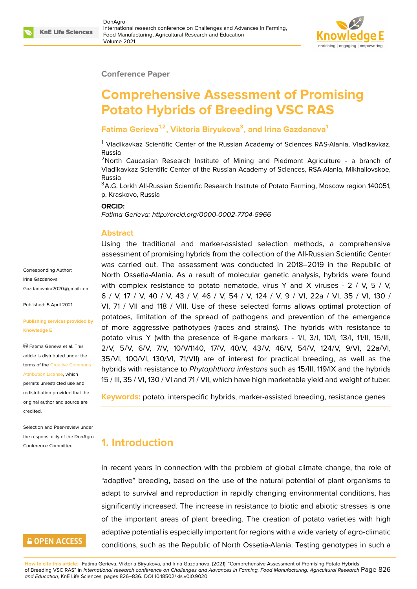

#### **Conference Paper**

# **Comprehensive Assessment of Promising Potato Hybrids of Breeding VSC RAS**

#### **Fatima Gerieva1,2, Viktoria Biryukova<sup>3</sup> , and Irina Gazdanova<sup>1</sup>**

<sup>1</sup> Vladikavkaz Scientific Center of the Russian Academy of Sciences RAS-Alania, Vladikavkaz, Russia

 $2$ North Caucasian Research Institute of Mining and Piedmont Agriculture - a branch of Vladikavkaz Scientific Center of the Russian Academy of Sciences, RSA-Alania, Mikhailovskoe, Russia

<sup>3</sup>A.G. Lorkh All-Russian Scientific Research Institute of Potato Farming, Moscow region 140051, p. Kraskovo, Russia

#### **ORCID:**

*Fatima Gerieva: http://orcid.org/0000-0002-7704-5966*

#### **Abstract**

Using the traditional and marker-assisted selection methods, a comprehensive assessment of promising hybrids from the collection of the All-Russian Scientific Center was carried out. The assessment was conducted in 2018–2019 in the Republic of North Ossetia-Alania. As a result of molecular genetic analysis, hybrids were found with complex resistance to potato nematode, virus Y and X viruses -  $2 / V$ , 5 / V, 6 / V, 17 / V, 40 / V, 43 / V, 46 / V, 54 / V, 124 / V, 9 / VI, 22a / VI, 35 / VI, 130 / VI, 71 / VII and 118 / VIII. Use of these selected forms allows optimal protection of potatoes, limitation of the spread of pathogens and prevention of the emergence of more aggressive pathotypes (races and strains). The hybrids with resistance to potato virus Y (with the presence of R-gene markers - 1/I, 3/I, 10/I, 13/I, 11/II, 15/III, 2/V, 5/V, 6/V, 7/V, 10/V/1140, 17/V, 40/V, 43/V, 46/V, 54/V, 124/V, 9/VI, 22a/VI, 35/VI, 100/VI, 130/VI, 71/VII) are of interest for practical breeding, as well as the hybrids with resistance to *Phytophthora infestans* such as 15/III, 119/IX and the hybrids 15 / III, 35 / VI, 130 / VI and 71 / VII, which have high marketable yield and weight of tuber.

**Keywords:** potato, interspecific hybrids, marker-assisted breeding, resistance genes

### **1. Introduction**

In recent years in connection with the problem of global climate change, the role of "adaptive" breeding, based on the use of the natural potential of plant organisms to adapt to survival and reproduction in rapidly changing environmental conditions, has significantly increased. The increase in resistance to biotic and abiotic stresses is one of the important areas of plant breeding. The creation of potato varieties with high adaptive potential is especially important for regions with a wide variety of agro-climatic conditions, such as the Republic of North Ossetia-Alania. Testing genotypes in such a

Corresponding Author: Irina Gazdanova Gazdanovaira2020@gmail.com

Published: 5 April 2021

#### **[Publishing services provided b](mailto:Gazdanovaira2020@gmail.com)y Knowledge E**

Fatima Gerieva et al. This article is distributed under the terms of the Creative Commons Attribution License, which

permits unrestricted use and redistribution provided that the original auth[or and source are](https://creativecommons.org/licenses/by/4.0/) [credited.](https://creativecommons.org/licenses/by/4.0/)

Selection and Peer-review under the responsibility of the DonAgro Conference Committee.

### **GOPEN ACCESS**

**How to cite this article**: Fatima Gerieva, Viktoria Biryukova, and Irina Gazdanova, (2021), "Comprehensive Assessment of Promising Potato Hybrids of Breeding VSC RAS" in *International research conference on Challenges and Advances in Farming, Food Manufacturing, Agricultural Research* Page 826 *and Education*, KnE Life Sciences, pages 826–836. DOI 10.18502/kls.v0i0.9020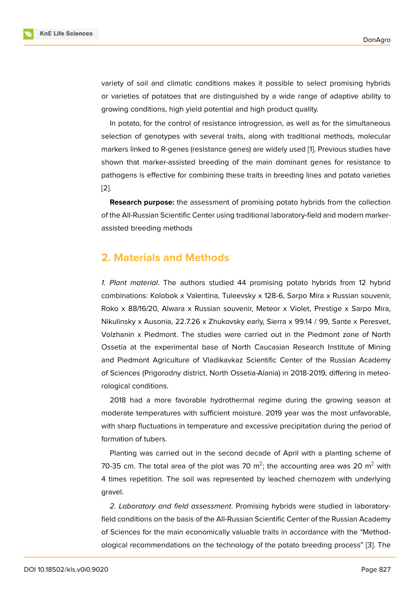variety of soil and climatic conditions makes it possible to select promising hybrids or varieties of potatoes that are distinguished by a wide range of adaptive ability to growing conditions, high yield potential and high product quality.

In potato, for the control of resistance introgression, as well as for the simultaneous selection of genotypes with several traits, along with traditional methods, molecular markers linked to R-genes (resistance genes) are widely used [1]. Previous studies have shown that marker-assisted breeding of the main dominant genes for resistance to pathogens is effective for combining these traits in breeding lines and potato varieties [2].

**Research purpose:** the assessment of promising potato hybrids from the collection of the All-Russian Scientific Center using traditional laboratory-field and modern marker[as](#page-9-0)sisted breeding methods

#### **2. Materials and Methods**

*1. Plant material*. The authors studied 44 promising potato hybrids from 12 hybrid combinations: Kolobok x Valentina, Tuleevsky x 128-6, Sarpo Mira x Russian souvenir, Roko x 88/16/20, Alwara x Russian souvenir, Meteor x Violet, Prestige x Sarpo Mira, Nikulinsky x Ausonia, 22.7.26 x Zhukovsky early, Sierra x 99.14 / 99, Sante x Peresvet, Volzhanin x Piedmont. The studies were carried out in the Piedmont zone of North Ossetia at the experimental base of North Caucasian Research Institute of Mining and Piedmont Agriculture of Vladikavkaz Scientific Center of the Russian Academy of Sciences (Prigorodny district, North Ossetia-Alania) in 2018-2019, differing in meteorological conditions.

2018 had a more favorable hydrothermal regime during the growing season at moderate temperatures with sufficient moisture. 2019 year was the most unfavorable, with sharp fluctuations in temperature and excessive precipitation during the period of formation of tubers.

Planting was carried out in the second decade of April with a planting scheme of 70-35 cm. The total area of the plot was 70 m<sup>2</sup>; the accounting area was 20 m<sup>2</sup> with 4 times repetition. The soil was represented by leached chernozem with underlying gravel.

*2. Laboratory and field assessment*. Promising hybrids were studied in laboratoryfield conditions on the basis of the All-Russian Scientific Center of the Russian Academy of Sciences for the main economically valuable traits in accordance with the "Methodological recommendations on the technology of the potato breeding process" [3]. The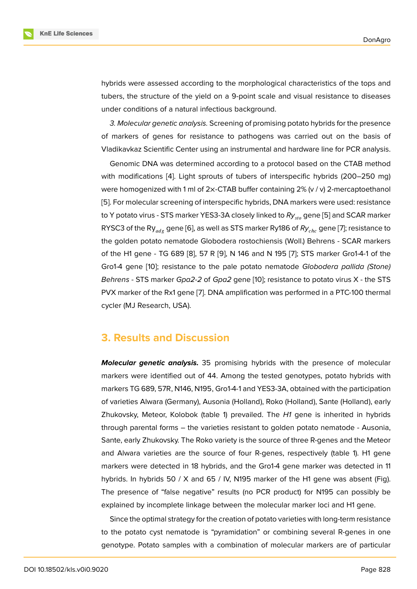hybrids were assessed according to the morphological characteristics of the tops and tubers, the structure of the yield on a 9-point scale and visual resistance to diseases under conditions of a natural infectious background.

*3. Molecular genetic analysis.* Screening of promising potato hybrids for the presence of markers of genes for resistance to pathogens was carried out on the basis of Vladikavkaz Scientific Center using an instrumental and hardware line for PCR analysis.

Genomic DNA was determined according to a protocol based on the CTAB method with modifications [4]. Light sprouts of tubers of interspecific hybrids (200–250 mg) were homogenized with 1 ml of  $2 \times$ -CTAB buffer containing  $2\%$  (v / v) 2-mercaptoethanol [5]. For molecular screening of interspecific hybrids, DNA markers were used: resistance to Y potato virus - S[TS](#page-9-1) marker YES3-3A closely linked to Ry<sub>sto</sub> gene [5] and SCAR marker RYSC3 of the Ry<sub>adg</sub> gene [6], as well as STS marker Ry186 of  $Ry_{chc}$  gene [7]; resistance to [th](#page-9-2)e golden potato nematode Globodera rostochiensis (Woll.) Behrens - SCAR markers of the H1 gene - TG 689 [8], 57 R [9], N 146 and N 195 [7]; STS m[ar](#page-9-2)ker Gro1-4-1 of the Gro1-4 gene [10]; resista[nce](#page-9-3) to the pale potato nematode *Globodera pallida (Stone) Behrens* - STS marker *Gpa2-2* of *Gpa2* gene [10]; resistance to potato virus X - the STS PVX marker of the Rx1 ge[ne](#page-9-4) [7]. DN[A](#page-9-5) amplification was p[er](#page-9-6)formed in a PTC-100 thermal cycler (MJ Re[sea](#page-9-7)rch, USA).

#### **3. Results and Discussion**

*Molecular genetic analysis.* 35 promising hybrids with the presence of molecular markers were identified out of 44. Among the tested genotypes, potato hybrids with markers TG 689, 57R, N146, N195, Gro1-4-1 and YES3-3A, obtained with the participation of varieties Alwara (Germany), Ausonia (Holland), Roko (Holland), Sante (Holland), early Zhukovsky, Meteor, Kolobok (table 1) prevailed. The *H1* gene is inherited in hybrids through parental forms – the varieties resistant to golden potato nematode - Ausonia, Sante, early Zhukovsky. The Roko variety is the source of three R-genes and the Meteor and Alwara varieties are the source of four R-genes, respectively (table 1). H1 gene markers were detected in 18 hybrids, and the Gro1-4 gene marker was detected in 11 hybrids. In hybrids 50 / X and 65 / IV, N195 marker of the H1 gene was absent (Fig). The presence of "false negative" results (no PCR product) for N195 can possibly be explained by incomplete linkage between the molecular marker loci and H1 gene.

Since the optimal strategy for the creation of potato varieties with long-term resistance to the potato cyst nematode is "pyramidation" or combining several R-genes in one genotype. Potato samples with a combination of molecular markers are of particular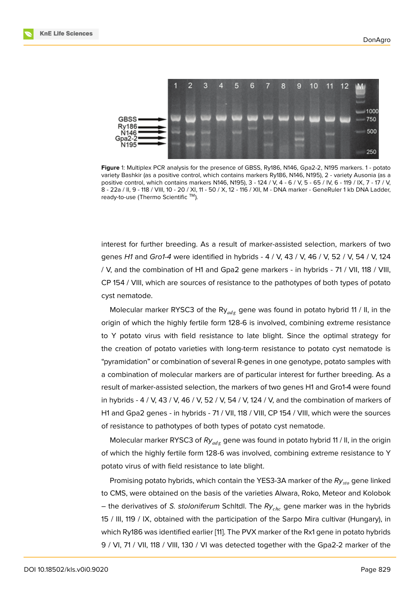

**Figure** 1: Multiplex PCR analysis for the presence of GBSS, Ry186, N146, Gpa2-2, N195 markers. 1 - potato variety Bashkir (as a positive control, which contains markers Ry186, N146, N195), 2 - variety Ausonia (as a positive control, which contains markers N146, N195), 3 - 124 / V, 4 - 6 / V, 5 - 65 / IV, 6 - 119 / IX, 7 - 17 / V, 8 - 22a / II, 9 - 118 / VIII, 10 - 20 / XI, 11 - 50 / X, 12 - 116 / XII, M - DNA marker - GeneRuler 1 kb DNA Ladder, ready-to-use (Thermo Scientific ™).

interest for further breeding. As a result of marker-assisted selection, markers of two genes *H1* and *Gro1-4* were identified in hybrids - 4 / V, 43 / V, 46 / V, 52 / V, 54 / V, 124 / V, and the combination of H1 and Gpa2 gene markers - in hybrids - 71 / VII, 118 / VIII, CP 154 / VIII, which are sources of resistance to the pathotypes of both types of potato cyst nematode.

Molecular marker RYSC3 of the Ry<sub>adg</sub> gene was found in potato hybrid 11 / II, in the origin of which the highly fertile form 128-6 is involved, combining extreme resistance to Y potato virus with field resistance to late blight. Since the optimal strategy for the creation of potato varieties with long-term resistance to potato cyst nematode is "pyramidation" or combination of several R-genes in one genotype, potato samples with a combination of molecular markers are of particular interest for further breeding. As a result of marker-assisted selection, the markers of two genes H1 and Gro1-4 were found in hybrids - 4 / V, 43 / V, 46 / V, 52 / V, 54 / V, 124 / V, and the combination of markers of H1 and Gpa2 genes - in hybrids - 71 / VII, 118 / VIII, CP 154 / VIII, which were the sources of resistance to pathotypes of both types of potato cyst nematode.

Molecular marker RYSC3 of *Ry<sub>ads</sub>* gene was found in potato hybrid 11 / II, in the origin of which the highly fertile form 128-6 was involved, combining extreme resistance to Y potato virus of with field resistance to late blight.

Promising potato hybrids, which contain the YES3-3A marker of the Ry<sub>sto</sub> gene linked to CMS, were obtained on the basis of the varieties Alwara, Roko, Meteor and Kolobok – the derivatives of *S. stoloniferum* Schltdl. The Ry<sub>chc</sub> gene marker was in the hybrids 15 / III, 119 / IX, obtained with the participation of the Sarpo Mira cultivar (Hungary), in which Ry186 was identified earlier [11]. The PVX marker of the Rx1 gene in potato hybrids 9 / VI, 71 / VII, 118 / VIII, 130 / VI was detected together with the Gpa2-2 marker of the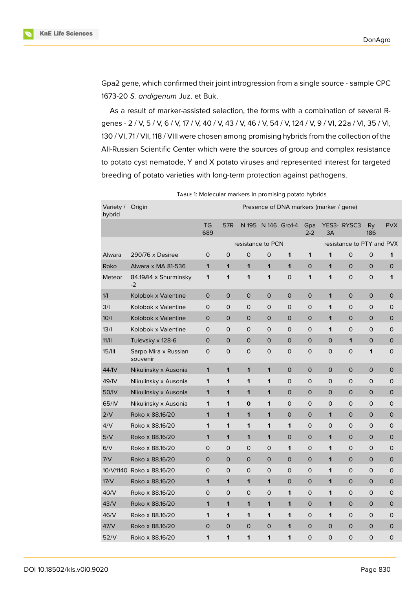

Gpa2 gene, which confirmed their joint introgression from a single source - sample CPC 1673-20 *S. andigenum* Juz. et Buk.

As a result of marker-assisted selection, the forms with a combination of several Rgenes - 2 / V, 5 / V, 6 / V, 17 / V, 40 / V, 43 / V, 46 / V, 54 / V, 124 / V, 9 / VI, 22a / VI, 35 / VI, 130 / VI, 71 / VII, 118 / VIII were chosen among promising hybrids from the collection of the All-Russian Scientific Center which were the sources of group and complex resistance to potato cyst nematode, Y and X potato viruses and represented interest for targeted breeding of potato varieties with long-term protection against pathogens.

| Variety /<br>hybrid | Origin                           | Presence of DNA markers (marker / gene) |                   |       |              |              |                           |                |                |                  |             |
|---------------------|----------------------------------|-----------------------------------------|-------------------|-------|--------------|--------------|---------------------------|----------------|----------------|------------------|-------------|
|                     |                                  | <b>TG</b><br>689                        | 57R               | N 195 |              | N 146 Gro1-4 | Gpa<br>$2 - 2$            | 3A             | YES3- RYSC3    | <b>Ry</b><br>186 | <b>PVX</b>  |
|                     |                                  |                                         | resistance to PCN |       |              |              | resistance to PTY and PVX |                |                |                  |             |
| Alwara              | $290/76 \times$ Desiree          | 0                                       | $\mathbf 0$       | 0     | $\Omega$     | 1            | 1                         | 1              | 0              | 0                | 1           |
| Roko                | Alwara x MA 81-536               | 1                                       | 1                 | 1     | $\mathbf{1}$ | 1            | $\mathsf{O}$              | 1              | $\overline{O}$ | 0                | 0           |
| Meteor              | 84.19/44 x Shurminsky<br>$-2$    | 1                                       | 1                 | 1     | 1            | $\mathsf{O}$ | 1                         | 1              | 0              | 0                | 1           |
| 1/1                 | Kolobok x Valentine              | 0                                       | $\mathbf 0$       | 0     | $\mathbf 0$  | $\mathsf{O}$ | 0                         | 1              | 0              | 0                | 0           |
| 3/1                 | Kolobok x Valentine              | 0                                       | $\mathbf 0$       | 0     | 0            | $\mathsf{O}$ | 0                         | 1              | 0              | 0                | 0           |
| 10/1                | Kolobok x Valentine              | $\overline{O}$                          | $\mathbf 0$       | 0     | $\mathsf{O}$ | $\mathbf{O}$ | $\mathsf{O}$              | 1              | 0              | $\mathsf{O}$     | 0           |
| 13/1                | Kolobok x Valentine              | 0                                       | $\mathbf 0$       | 0     | 0            | $\mathsf{O}$ | 0                         | 1              | 0              | 0                | 0           |
| 11/11               | Tulevsky x 128-6                 | $\mathsf{O}$                            | $\circ$           | 0     | $\mathbf{O}$ | $\mathbf 0$  | 0                         | $\mathsf{O}$   | 1              | 0                | 0           |
| 15/III              | Sarpo Mira x Russian<br>souvenir | 0                                       | 0                 | 0     | 0            | 0            | 0                         | 0              | 0              | 1                | 0           |
| 44/IV               | Nikulinsky x Ausonia             | $\mathbf{1}$                            | 1                 | 1     | $\mathbf{1}$ | $\mathbf{O}$ | $\mathsf{O}$              | $\overline{O}$ | 0              | $\mathsf O$      | 0           |
| 49/IV               | Nikulinsky x Ausonia             | 1                                       | 1                 | 1     | 1            | $\mathsf{O}$ | $\circ$                   | 0              | O              | 0                | 0           |
| 50/IV               | Nikulinsky x Ausonia             | 1                                       | 1                 | 1     | $\mathbf{1}$ | $\mathbf{O}$ | $\mathsf{O}$              | $\mathsf{O}$   | 0              | 0                | 0           |
| 65/IV               | Nikulinsky x Ausonia             | 1                                       | 1                 | 0     | 1            | $\mathsf{O}$ | 0                         | 0              | O              | 0                | 0           |
| 2/V                 | Roko x 88.16/20                  | 1                                       | 1                 | 1     | $\mathbf{1}$ | $\mathbf 0$  | $\mathsf{O}$              | 1              | $\circ$        | 0                | 0           |
| 4/V                 | Roko x 88.16/20                  | 1                                       | 1                 | 1     | 1            | 1            | 0                         | 0              | 0              | 0                | 0           |
| 5/V                 | Roko x 88.16/20                  | 1                                       | 1                 | 1     | 1            | $\mathbf 0$  | $\mathsf{O}$              | 1              | 0              | 0                | 0           |
| 6/V                 | Roko x 88.16/20                  | 0                                       | $\mathbf 0$       | 0     | 0            | 1            | 0                         | 1              | 0              | 0                | 0           |
| 7/V                 | Roko x 88.16/20                  | 0                                       | $\mathbf 0$       | 0     | $\mathbf{O}$ | $\mathbf{O}$ | $\mathsf{O}$              | 1              | $\mathsf{O}$   | 0                | 0           |
|                     | 10/V/1140 Roko x 88.16/20        | 0                                       | $\mathbf 0$       | 0     | 0            | 0            | 0                         | 1              | 0              | 0                | 0           |
| 17/V                | Roko x 88.16/20                  | 1                                       | 1                 | 1     | $\mathbf{1}$ | $\mathbf{O}$ | $\mathsf{O}$              | 1              | 0              | 0                | 0           |
| 40/V                | Roko x 88.16/20                  | 0                                       | $\mathbf 0$       | 0     | $\circ$      | 1            | 0                         | 1              | 0              | 0                | 0           |
| 43/V                | Roko x 88.16/20                  | $\mathbf{1}$                            | 1                 | 1     | $\mathbf{1}$ | 1            | $\mathsf{O}$              | 1              | 0              | 0                | 0           |
| 46/V                | Roko x 88.16/20                  | 1                                       | 1                 | 1     | 1            | 1            | 0                         | 1              | 0              | 0                | 0           |
| 47/V                | Roko x 88.16/20                  | $\mathsf{O}$                            | 0                 | 0     | $\mathsf{O}$ | 1            | $\mathsf{O}$              | $\Omega$       | $\mathsf{O}$   | 0                | 0           |
| 52/V                | Roko x 88.16/20                  | 1                                       | 1                 | 1     | 1            | 1            | 0                         | 0              | 0              | 0                | $\mathsf O$ |

TABLE 1: Molecular markers in promising potato hybrids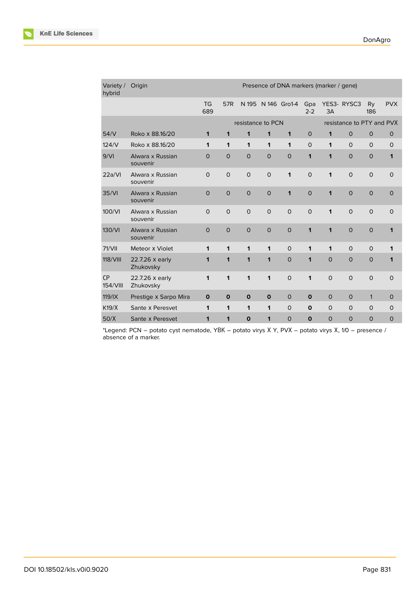| Variety /<br>hybrid | Origin                       | Presence of DNA markers (marker / gene) |                |              |                |             |                |                           |              |                  |              |
|---------------------|------------------------------|-----------------------------------------|----------------|--------------|----------------|-------------|----------------|---------------------------|--------------|------------------|--------------|
|                     |                              | <b>TG</b><br>689                        | 57R            | N 195        | N 146 Gro1-4   |             | Gpa<br>$2 - 2$ | 3A                        | YES3- RYSC3  | <b>Ry</b><br>186 | <b>PVX</b>   |
|                     |                              | resistance to PCN                       |                |              |                |             |                | resistance to PTY and PVX |              |                  |              |
| 54/V                | Roko x 88.16/20              | $\mathbf{1}$                            | 1              | 1            | 1              | 1           | $\mathsf{O}$   | 1                         | $\circ$      | $\mathbf{O}$     | $\mathbf{O}$ |
| 124/V               | Roko x 88.16/20              | $\mathbf 1$                             | 1              | 1            | 1              | 1           | $\Omega$       | 1                         | $\Omega$     | $\Omega$         | $\mathsf{O}$ |
| 9/Vl                | Alwara x Russian<br>souvenir | $\circ$                                 | $\circ$        | $\mathsf{O}$ | $\mathbf{O}$   | $\circ$     | 1              | 1                         | $\circ$      | $\mathbf{O}$     | 1            |
| 22a/Vl              | Alwara x Russian<br>souvenir | $\mathbf 0$                             | $\Omega$       | $\mathsf{O}$ | $\Omega$       | 1           | $\Omega$       | 1                         | $\Omega$     | $\Omega$         | $\Omega$     |
| 35/VI               | Alwara x Russian<br>souvenir | $\mathbf 0$                             | $\overline{O}$ | $\mathsf{O}$ | $\overline{0}$ | 1           | $\overline{O}$ | 1                         | $\mathbf{O}$ | $\mathsf{O}$     | $\Omega$     |
| 100/VI              | Alwara x Russian<br>souvenir | $\mathbf 0$                             | $\overline{O}$ | $\mathsf{O}$ | $\Omega$       | $\Omega$    | $\Omega$       | 1                         | $\circ$      | $\mathsf{O}$     | $\Omega$     |
| 130/VI              | Alwara x Russian<br>souvenir | $\circ$                                 | $\mathbf 0$    | $\mathsf{O}$ | $\mathbf 0$    | $\mathbf 0$ | $\mathbf{1}$   | 1                         | $\mathsf{O}$ | $\mathsf{O}$     | 1            |
| 71/VII              | Meteor x Violet              | 1                                       | 1              | $\mathbf 1$  | 1              | $\circ$     | 1              | 1                         | $\Omega$     | $\mathsf{O}$     | 1            |
| 118/VIII            | 22.7.26 x early<br>Zhukovsky | 1                                       | 1              | 1            | 1              | $\mathbf 0$ | 1              | $\mathbf 0$               | $\circ$      | $\mathbf{O}$     | 1            |
| CP<br>154/VIII      | 22.7.26 x early<br>Zhukovsky | 1                                       | 1              | 1            | 1              | $\Omega$    | 1              | $\Omega$                  | $\Omega$     | $\mathsf{O}$     | $\circ$      |
| 119/IX              | Prestige x Sarpo Mira        | $\mathbf 0$                             | $\mathbf 0$    | $\mathbf 0$  | $\mathbf 0$    | $\mathbf 0$ | $\mathbf 0$    | $\circ$                   | $\mathbf{O}$ | $\mathbf{1}$     | $\mathbf 0$  |
| K19/X               | Sante x Peresvet             | 1                                       | 1              | $\mathbf 1$  | 1              | $\Omega$    | $\mathbf 0$    | $\Omega$                  | $\Omega$     | $\Omega$         | $\Omega$     |
| 50/X                | Sante x Peresvet             | 1                                       | 1              | $\mathbf 0$  | 1              | $\mathbf 0$ | $\mathbf{o}$   | $\circ$                   | $\circ$      | $\mathbf{O}$     | $\mathbf 0$  |

\*Legend: PCN – potato cyst nematode, YВК – potato virys Х Y, PVХ – potato virys Х, 1/0 – presence / absence of a marker.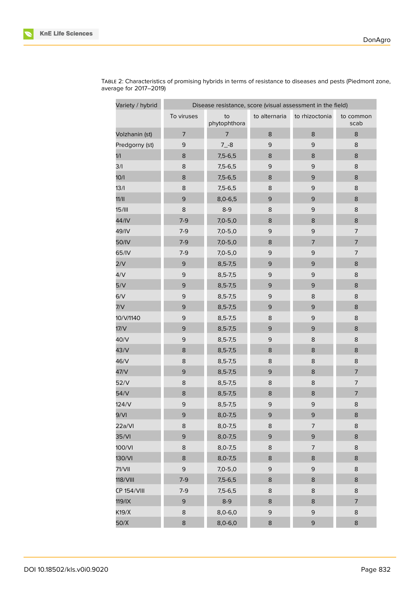

 $\overline{a}$ 

r.

| Variety / hybrid   | Disease resistance, score (visual assessment in the field) |                    |               |                |                   |  |  |  |  |
|--------------------|------------------------------------------------------------|--------------------|---------------|----------------|-------------------|--|--|--|--|
|                    | To viruses                                                 | to<br>phytophthora | to alternaria | to rhizoctonia | to common<br>scab |  |  |  |  |
| Volzhanin (st)     | $\overline{7}$                                             | $\overline{7}$     | $\bf 8$       | $\bf 8$        | $\bf 8$           |  |  |  |  |
| Predgorny (st)     | $\mathsf 9$                                                | $7 - 8$            | $\mathsf 9$   | $\mathsf 9$    | $\bf 8$           |  |  |  |  |
| 1/1                | 8                                                          | $7,5-6,5$          | $\bf 8$       | $\bf 8$        | $\bf 8$           |  |  |  |  |
| 3/I                | $\bf 8$                                                    | $7,5-6,5$          | $\mathsf 9$   | $\mathsf 9$    | $\bf 8$           |  |  |  |  |
| 10/1               | 8                                                          | $7,5-6,5$          | $\bf 8$       | $\mathsf 9$    | $\bf 8$           |  |  |  |  |
| 13/1               | $\bf 8$                                                    | $7,5-6,5$          | 8             | $\mathsf 9$    | $\bf 8$           |  |  |  |  |
| 11/11              | 9                                                          | $8,0-6,5$          | $\mathsf 9$   | $\mathsf 9$    | $\bf 8$           |  |  |  |  |
| 15/III             | $\bf 8$                                                    | $8-9$              | 8             | $\mathsf 9$    | $\bf 8$           |  |  |  |  |
| 44/IV              | $7-9$                                                      | $7,0-5,0$          | $\bf8$        | $\bf 8$        | $\bf 8$           |  |  |  |  |
| 49/IV              | $7-9$                                                      | $7,0-5,0$          | $\mathsf 9$   | $\mathsf 9$    | $\overline{7}$    |  |  |  |  |
| 50/IV              | $7-9$                                                      | $7,0-5,0$          | 8             | $\overline{7}$ | $\overline{7}$    |  |  |  |  |
| 65/IV              | $7-9$                                                      | $7,0-5,0$          | $\mathsf 9$   | $\mathsf 9$    | $\overline{7}$    |  |  |  |  |
| 2/V                | $\mathsf 9$                                                | $8,5 - 7,5$        | $\mathsf 9$   | $\mathsf 9$    | $\bf 8$           |  |  |  |  |
| 4/V                | 9                                                          | $8,5 - 7,5$        | $\mathsf 9$   | $\mathsf 9$    | 8                 |  |  |  |  |
| 5/V                | $\mathsf 9$                                                | $8,5 - 7,5$        | $\mathsf 9$   | $\mathsf 9$    | $\bf 8$           |  |  |  |  |
| 6/V                | $\mathsf 9$                                                | $8,5 - 7,5$        | $\mathsf 9$   | $\bf 8$        | $\,$ 8            |  |  |  |  |
| 7/V                | 9                                                          | $8,5 - 7,5$        | $\mathsf 9$   | $\mathsf 9$    | $\bf 8$           |  |  |  |  |
| 10/V/1140          | $\mathsf 9$                                                | $8,5 - 7,5$        | 8             | $\mathsf 9$    | $\bf 8$           |  |  |  |  |
| 17/V               | 9                                                          | $8,5 - 7,5$        | $\mathsf 9$   | $\mathsf 9$    | $\bf 8$           |  |  |  |  |
| 40/V               | $\mathsf 9$                                                | $8,5 - 7,5$        | $\mathsf 9$   | $\bf8$         | $\bf 8$           |  |  |  |  |
| 43/V               | 8                                                          | $8,5 - 7,5$        | $\bf 8$       | 8              | $\bf 8$           |  |  |  |  |
| 46/V               | $\bf 8$                                                    | $8,5 - 7,5$        | $\bf8$        | $\bf 8$        | $\bf 8$           |  |  |  |  |
| 47/V               | $\mathsf 9$                                                | $8,5 - 7,5$        | $\mathsf 9$   | $\bf 8$        | $\overline{7}$    |  |  |  |  |
| 52/V               | 8                                                          | $8,5 - 7,5$        | $\bf8$        | $\bf 8$        | $\overline{7}$    |  |  |  |  |
| 54/V               | $\bf 8$                                                    | $8,5 - 7,5$        | 8             | $\bf 8$        | $\overline{7}$    |  |  |  |  |
| 124/V              | 9                                                          | $8,5 - 7,5$        | 9             | 9              | $\bf8$            |  |  |  |  |
| 9/Vl               | 9                                                          | $8,0-7,5$          | $\mathsf 9$   | $\mathsf 9$    | 8                 |  |  |  |  |
| 22a/VI             | 8                                                          | $8,0-7,5$          | 8             | $\overline{7}$ | 8                 |  |  |  |  |
| 35/Vl              | 9                                                          | $8,0-7,5$          | 9             | $\mathsf 9$    | $\bf 8$           |  |  |  |  |
| 100/VI             | 8                                                          | $8,0-7,5$          | 8             | $\overline{7}$ | 8                 |  |  |  |  |
| 130/VI             | 8                                                          | $8,0-7,5$          | $\bf 8$       | $\bf 8$        | 8                 |  |  |  |  |
| 71/VII             | $\mathsf 9$                                                | $7,0-5,0$          | $\mathsf 9$   | 9              | $\bf 8$           |  |  |  |  |
| 118/VIII           | $7-9$                                                      | $7,5-6,5$          | 8             | 8              | 8                 |  |  |  |  |
| <b>CP 154/VIII</b> | $7-9$                                                      | $7,5-6,5$          | 8             | 8              | 8                 |  |  |  |  |
| 119/IX             | 9                                                          | $8-9$              | 8             | 8              | $\overline{7}$    |  |  |  |  |
| K19/X              | 8                                                          | $8,0-6,0$          | $\mathsf 9$   | $\mathsf 9$    | $\bf 8$           |  |  |  |  |
| 50/X               | 8                                                          | $8,0-6,0$          | 8             | $\mathsf 9$    | $\bf 8$           |  |  |  |  |

TABLE 2: Characteristics of promising hybrids in terms of resistance to diseases and pests (Piedmont zone, average for 2017–2019)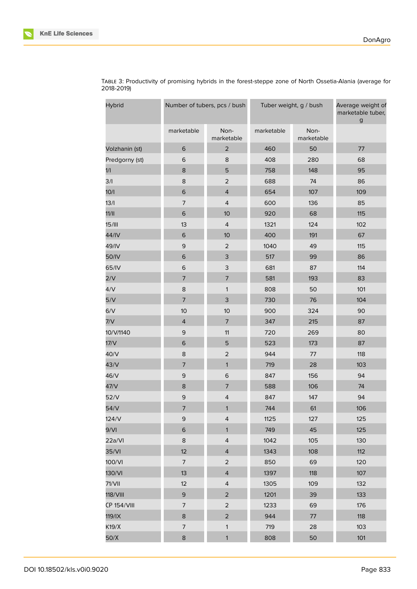| Hybrid             |                | Number of tubers, pcs / bush |            | Tuber weight, g / bush | Average weight of<br>marketable tuber,<br>$\mathsf g$ |  |
|--------------------|----------------|------------------------------|------------|------------------------|-------------------------------------------------------|--|
|                    | marketable     | Non-<br>marketable           | marketable | Non-<br>marketable     |                                                       |  |
| Volzhanin (st)     | 6              | $\overline{2}$               | 460        | 50                     | 77                                                    |  |
| Predgorny (st)     | 6              | 8                            | 408        | 280                    | 68                                                    |  |
| 1/1                | 8              | 5                            | 758        | 148                    | 95                                                    |  |
| 3/1                | 8              | $\overline{2}$               | 688        | 74                     | 86                                                    |  |
| 10/1               | $\,$ 6         | $\overline{4}$               | 654        | 107                    | 109                                                   |  |
| 13/1               | $\overline{7}$ | $\overline{4}$               | 600        | 136                    | 85                                                    |  |
| 11/11              | 6              | 10                           | 920        | 68                     | 115                                                   |  |
| 15/III             | 13             | $\overline{4}$               | 1321       | 124                    | 102                                                   |  |
| 44/IV              | $\mathsf 6$    | 10                           | 400        | 191                    | 67                                                    |  |
| 49/IV              | 9              | $\overline{2}$               | 1040       | 49                     | 115                                                   |  |
| 50/IV              | $\mathsf 6$    | 3                            | 517        | 99                     | 86                                                    |  |
| 65/IV              | 6              | 3                            | 681        | 87                     | 114                                                   |  |
| 2/V                | $\overline{7}$ | $\overline{\phantom{a}}$     | 581        | 193                    | 83                                                    |  |
| 4/V                | 8              | 1                            | 808        | 50                     | 101                                                   |  |
| 5/V                | $\overline{7}$ | 3                            | 730        | 76                     | 104                                                   |  |
| 6/V                | 10             | 10                           | 900        | 324                    | 90                                                    |  |
| 7/V                | $\overline{4}$ | $\overline{7}$               | 347        | 215                    | 87                                                    |  |
| 10/V/1140          | $\mathsf 9$    | 11                           | 720        | 269                    | 80                                                    |  |
| 17/V               | $\,$ 6         | 5                            | 523        | 173                    | 87                                                    |  |
| 40/V               | 8              | $\mathbf 2$                  | 944        | 77                     | 118                                                   |  |
| 43/V               | 7              | 1                            | 719        | 28                     | 103                                                   |  |
| 46/V               | $\mathsf 9$    | 6                            | 847        | 156                    | 94                                                    |  |
| 47/V               | 8              | $\overline{7}$               | 588        | 106                    | 74                                                    |  |
| 52/V               | $\mathsf 9$    | $\overline{4}$               | 847        | 147                    | 94                                                    |  |
| 54/V               | 7              | 1                            | 744        | 61                     | 106                                                   |  |
| 124/V              | $\mathsf 9$    | $\overline{4}$               | 1125       | 127                    | 125                                                   |  |
| 9/Vl               | $\mathsf 6$    | $\mathbf{1}$                 | 749        | 45                     | 125                                                   |  |
| 22a/Vl             | 8              | $\overline{4}$               | 1042       | 105                    | 130                                                   |  |
| 35/Vl              | 12             | $\overline{4}$               | 1343       | 108                    | 112                                                   |  |
| 100/VI             | $\overline{7}$ | $\overline{2}$               | 850        | 69                     | 120                                                   |  |
| 130/VI             | 13             | $\overline{4}$               | 1397       | 118                    | 107                                                   |  |
| 71/VII             | 12             | $\overline{4}$               | 1305       | 109                    | 132                                                   |  |
| 118/VIII           | 9              | $\overline{2}$               | 1201       | 39                     | 133                                                   |  |
| <b>CP 154/VIII</b> | $\overline{7}$ | $\overline{c}$               | 1233       | 69                     | 176                                                   |  |
| 119/IX             | 8              | $\overline{c}$               | 944        | 77                     | 118                                                   |  |
| K19/X              | $\overline{7}$ | $\mathbf{1}$                 | 719        | 28                     | 103                                                   |  |
| 50/X               | 8              | $\mathbf{1}$                 | 808        | 50                     | 101                                                   |  |

TABLE 3: Productivity of promising hybrids in the forest-steppe zone of North Ossetia-Alania (average for 2018-2019)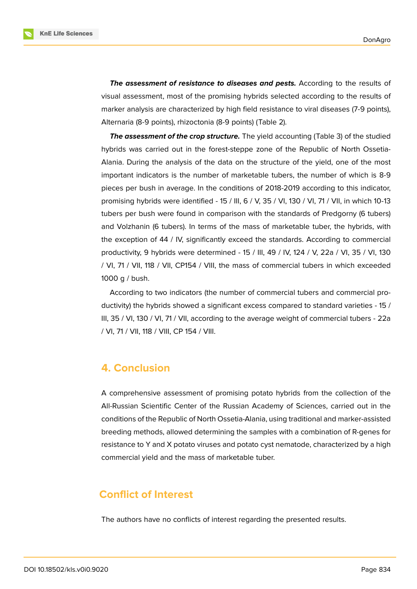*The assessment of resistance to diseases and pests.* According to the results of visual assessment, most of the promising hybrids selected according to the results of marker analysis are characterized by high field resistance to viral diseases (7-9 points), Alternaria (8-9 points), rhizoctonia (8-9 points) (Table 2).

**The assessment of the crop structure.** The yield accounting (Table 3) of the studied hybrids was carried out in the forest-steppe zone of the Republic of North Ossetia-Alania. During the analysis of the data on the structure of the yield, one of the most important indicators is the number of marketable tubers, the number of which is 8-9 pieces per bush in average. In the conditions of 2018-2019 according to this indicator, promising hybrids were identified - 15 / III, 6 / V, 35 / VI, 130 / VI, 71 / VII, in which 10-13 tubers per bush were found in comparison with the standards of Predgorny (6 tubers) and Volzhanin (6 tubers). In terms of the mass of marketable tuber, the hybrids, with the exception of 44 / IV, significantly exceed the standards. According to commercial productivity, 9 hybrids were determined - 15 / III, 49 / IV, 124 / V, 22a / VI, 35 / VI, 130 / VI, 71 / VII, 118 / VII, CP154 / VIII, the mass of commercial tubers in which exceeded 1000 g / bush.

According to two indicators (the number of commercial tubers and commercial productivity) the hybrids showed a significant excess compared to standard varieties - 15 / III, 35 / VI, 130 / VI, 71 / VII, according to the average weight of commercial tubers - 22a / VI, 71 / VII, 118 / VIII, CP 154 / VIII.

### **4. Conclusion**

A comprehensive assessment of promising potato hybrids from the collection of the All-Russian Scientific Center of the Russian Academy of Sciences, carried out in the conditions of the Republic of North Ossetia-Alania, using traditional and marker-assisted breeding methods, allowed determining the samples with a combination of R-genes for resistance to Y and X potato viruses and potato cyst nematode, characterized by a high commercial yield and the mass of marketable tuber.

### **Conflict of Interest**

The authors have no conflicts of interest regarding the presented results.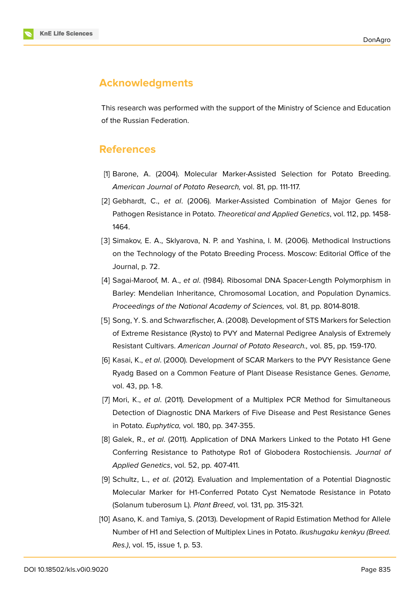

## **Acknowledgments**

This research was performed with the support of the Ministry of Science and Education of the Russian Federation.

### **References**

- [1] Barone, A. (2004). Molecular Marker-Assisted Selection for Potato Breeding. *American Journal of Potato Research,* vol. 81, pp. 111-117.
- <span id="page-9-0"></span>[2] Gebhardt, C., *et al*. (2006). Marker-Assisted Combination of Major Genes for Pathogen Resistance in Potato. *Theoretical and Applied Genetics*, vol. 112, pp. 1458- 1464.
- [3] Simakov, E. A., Sklyarova, N. P. and Yashina, I. M. (2006). Methodical Instructions on the Technology of the Potato Breeding Process. Moscow: Editorial Office of the Journal, p. 72.
- <span id="page-9-1"></span>[4] Sagai-Maroof, M. A., *et al*. (1984). Ribosomal DNA Spacer-Length Polymorphism in Barley: Mendelian Inheritance, Chromosomal Location, and Population Dynamics. *Proceedings of the National Academy of Sciences,* vol. 81, pp. 8014-8018.
- <span id="page-9-2"></span>[5] Song, Y. S. and Schwarzfischer, A. (2008). Development of STS Markers for Selection of Extreme Resistance (Rysto) to PVY and Maternal Pedigree Analysis of Extremely Resistant Cultivars. *American Journal of Potato Research.,* vol. 85, pp. 159-170.
- <span id="page-9-3"></span>[6] Kasai, K., *et al*. (2000). Development of SCAR Markers to the PVY Resistance Gene Ryadg Based on a Common Feature of Plant Disease Resistance Genes. *Genome,* vol. 43, pp. 1-8.
- <span id="page-9-6"></span>[7] Mori, K., *et al*. (2011). Development of a Multiplex PCR Method for Simultaneous Detection of Diagnostic DNA Markers of Five Disease and Pest Resistance Genes in Potato. *Euphytica,* vol. 180, pp. 347-355.
- <span id="page-9-4"></span>[8] Galek, R., *et al*. (2011). Application of DNA Markers Linked to the Potato H1 Gene Conferring Resistance to Pathotype Ro1 of Globodera Rostochiensis. *Journal of Applied Genetics*, vol. 52, pp. 407-411.
- <span id="page-9-5"></span>[9] Schultz, L., *et al*. (2012). Evaluation and Implementation of a Potential Diagnostic Molecular Marker for H1-Conferred Potato Cyst Nematode Resistance in Potato (Solanum tuberosum L). *Plant Breed*, vol. 131, pp. 315-321.
- <span id="page-9-7"></span>[10] Asano, K. and Tamiya, S. (2013). Development of Rapid Estimation Method for Allele Number of H1 and Selection of Multiplex Lines in Potato. *Ikushugaku kenkyu (Breed. Res.)*, vol. 15, issue 1, p. 53.